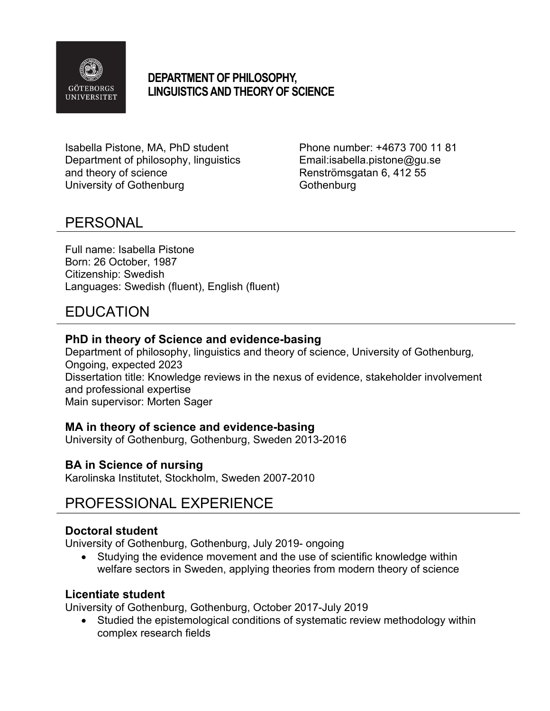

### **DEPARTMENT OF PHILOSOPHY, LINGUISTICS AND THEORY OF SCIENCE**

Isabella Pistone, MA, PhD student Phone number: +4673 700 11 81 Department of philosophy, linguistics Email: isabella.pistone@gu.se and theory of science **Renströmsgatan 6, 412 55** University of Gothenburg Cothenburg Gothenburg

## PERSONAL

Full name: Isabella Pistone Born: 26 October, 1987 Citizenship: Swedish Languages: Swedish (fluent), English (fluent)

# EDUCATION

#### **PhD in theory of Science and evidence-basing**

Department of philosophy, linguistics and theory of science, University of Gothenburg*,*  Ongoing, expected 2023 Dissertation title: Knowledge reviews in the nexus of evidence, stakeholder involvement and professional expertise Main supervisor: Morten Sager

### **MA in theory of science and evidence-basing**

University of Gothenburg, Gothenburg, Sweden 2013-2016

### **BA in Science of nursing**

Karolinska Institutet, Stockholm, Sweden 2007-2010

## PROFESSIONAL EXPERIENCE

#### **Doctoral student**

University of Gothenburg, Gothenburg, July 2019- ongoing

Studying the evidence movement and the use of scientific knowledge within welfare sectors in Sweden, applying theories from modern theory of science

#### **Licentiate student**

University of Gothenburg, Gothenburg, October 2017-July 2019

• Studied the epistemological conditions of systematic review methodology within complex research fields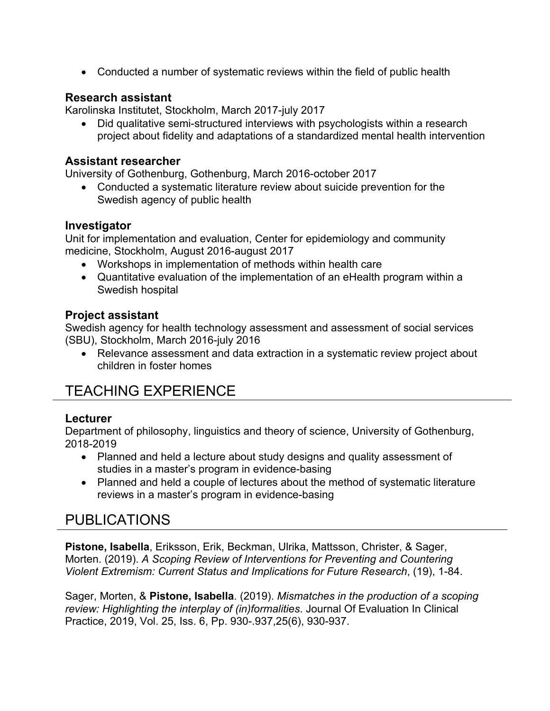• Conducted a number of systematic reviews within the field of public health

#### **Research assistant**

Karolinska Institutet, Stockholm, March 2017-july 2017

• Did qualitative semi-structured interviews with psychologists within a research project about fidelity and adaptations of a standardized mental health intervention

#### **Assistant researcher**

University of Gothenburg, Gothenburg, March 2016-october 2017

• Conducted a systematic literature review about suicide prevention for the Swedish agency of public health

#### **Investigator**

Unit for implementation and evaluation, Center for epidemiology and community medicine, Stockholm, August 2016-august 2017

- Workshops in implementation of methods within health care
- Quantitative evaluation of the implementation of an eHealth program within a Swedish hospital

#### **Project assistant**

Swedish agency for health technology assessment and assessment of social services (SBU), Stockholm, March 2016-july 2016

• Relevance assessment and data extraction in a systematic review project about children in foster homes

# TEACHING EXPERIENCE

#### **Lecturer**

Department of philosophy, linguistics and theory of science, University of Gothenburg, 2018-2019

- Planned and held a lecture about study designs and quality assessment of studies in a master's program in evidence-basing
- Planned and held a couple of lectures about the method of systematic literature reviews in a master's program in evidence-basing

# PUBLICATIONS

**Pistone, Isabella**, Eriksson, Erik, Beckman, Ulrika, Mattsson, Christer, & Sager, Morten. (2019). *A Scoping Review of Interventions for Preventing and Countering Violent Extremism: Current Status and Implications for Future Research*, (19), 1-84.

Sager, Morten, & **Pistone, Isabella**. (2019). *Mismatches in the production of a scoping review: Highlighting the interplay of (in)formalities*. Journal Of Evaluation In Clinical Practice, 2019, Vol. 25, Iss. 6, Pp. 930-.937,25(6), 930-937.